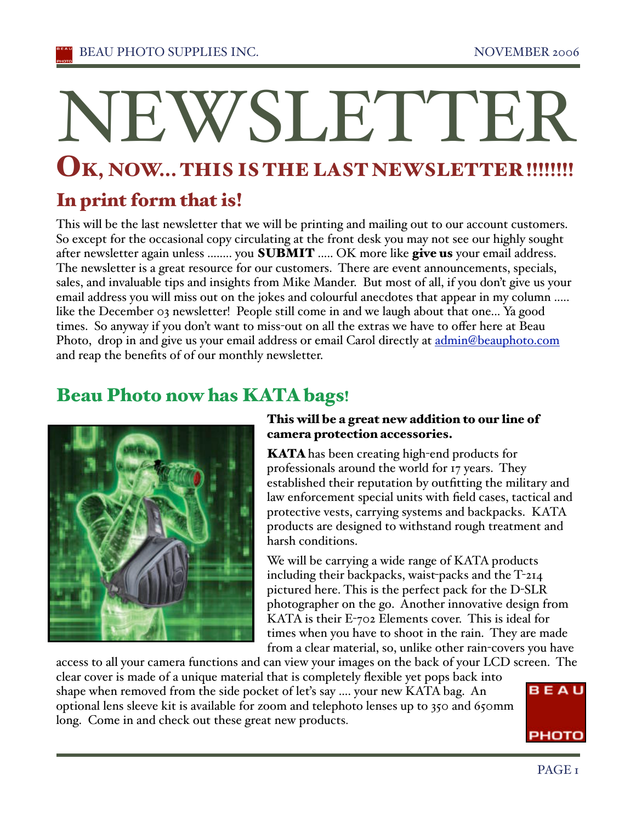# NEWSLETTER

# OK, NOW... THIS IS THE LAST NEWSLETTER !!!!!!!!

# In print form that is!

This will be the last newsletter that we will be printing and mailing out to our account customers. So except for the occasional copy circulating at the front desk you may not see our highly sought after newsletter again unless ........ you **SUBMIT** ..... OK more like give us your email address. The newsletter is a great resource for our customers. There are event announcements, specials, sales, and invaluable tips and insights from Mike Mander. But most of all, if you don't give us your email address you will miss out on the jokes and colourful anecdotes that appear in my column ..... like the December 03 newsletter! People still come in and we laugh about that one... Ya good times. So anyway if you don't want to miss-out on all the extras we have to offer here at Beau Photo, drop in and give us your email address or email Carol directly at admin@beauphoto.com and reap the benefits of of our monthly newsletter.

# Beau Photo now has KATA bags!



#### This will be a great new addition to our line of camera protection accessories.

**KATA** has been creating high-end products for professionals around the world for 17 years. They established their reputation by outfitting the military and law enforcement special units with field cases, tactical and protective vests, carrying systems and backpacks. KATA products are designed to withstand rough treatment and harsh conditions.

We will be carrying a wide range of KATA products including their backpacks, waist-packs and the T-214 pictured here. This is the perfect pack for the D-SLR photographer on the go. Another innovative design from KATA is their E-702 Elements cover. This is ideal for times when you have to shoot in the rain. They are made from a clear material, so, unlike other rain-covers you have

access to all your camera functions and can view your images on the back of your LCD screen. The clear cover is made of a unique material that is completely flexible yet pops back into BEAU shape when removed from the side pocket of leťs say .... your new KATA bag. An optional lens sleeve kit is available for zoom and telephoto lenses up to 350 and 650mm long. Come in and check out these great new products. PHOTO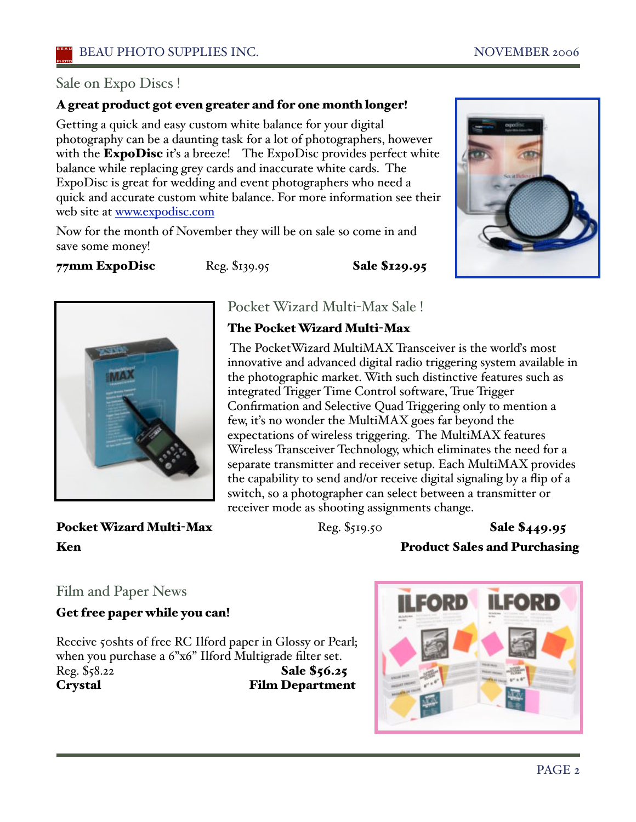#### Sale on Expo Discs !

#### A great product got even greater and for one month longer!

Getting a quick and easy custom white balance for your digital photography can be a daunting task for a lot of photographers, however with the ExpoDisc it's a breeze! The ExpoDisc provides perfect white balance while replacing grey cards and inaccurate white cards. The ExpoDisc is great for wedding and event photographers who need a quick and accurate custom white balance. For more information see their web site at www.expodisc.com

Now for the month of November they will be on sale so come in and save some money!

77mm ExpoDisc Reg. \$139.95 Sale \$129.95





# Pocket Wizard Multi-Max Sale !

The Pocket Wizard Multi-Max

The PocketWizard MultiMAX Transceiver is the world's most innovative and advanced digital radio triggering system available in the photographic market. With such distinctive features such as integrated Trigger Time Control software, True Trigger Confirmation and Selective Quad Triggering only to mention a few, iťs no wonder the MultiMAX goes far beyond the expectations of wireless triggering. The MultiMAX features Wireless Transceiver Technology, which eliminates the need for a separate transmitter and receiver setup. Each MultiMAX provides the capability to send and/or receive digital signaling by a flip of a switch, so a photographer can select between a transmitter or receiver mode as shooting assignments change.

Pocket Wizard Multi-Max Reg. \$519.50 Sale \$449.95

Ken Product Sales and Purchasing

#### Film and Paper News

Get free paper while you can!

Receive 50shts of free RC Ilford paper in Glossy or Pearl; when you purchase a 6"x6" Ilford Multigrade filter set. Reg. \$58.22 **Sale \$56.25** Crystal Film Department

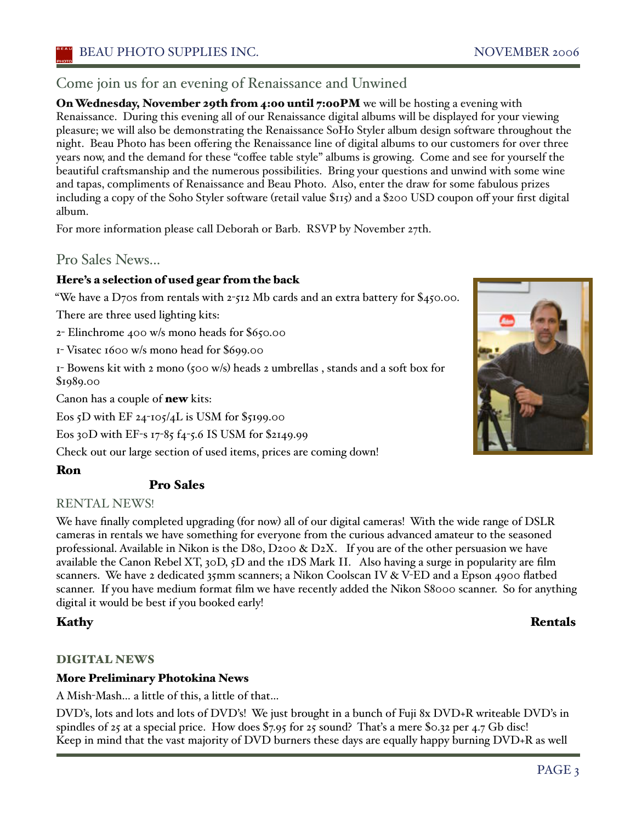#### Come join us for an evening of Renaissance and Unwined

On Wednesday, November 29th from 4:00 until 7:00PM we will be hosting a evening with Renaissance. During this evening all of our Renaissance digital albums will be displayed for your viewing pleasure; we will also be demonstrating the Renaissance SoHo Styler album design software throughout the night. Beau Photo has been offering the Renaissance line of digital albums to our customers for over three years now, and the demand for these "coffee table style" albums is growing. Come and see for yourself the beautiful craftsmanship and the numerous possibilities. Bring your questions and unwind with some wine and tapas, compliments of Renaissance and Beau Photo. Also, enter the draw for some fabulous prizes including a copy of the Soho Styler software (retail value \$115) and a \$200 USD coupon off your first digital album.

For more information please call Deborah or Barb. RSVP by November 27th.

Pro Sales News...

#### Here's a selection of used gear from the back

"We have a D70s from rentals with 2-512 Mb cards and an extra battery for  $\frac{6}{450.00}$ .

There are three used lighting kits:

2- Elinchrome 400 w/s mono heads for \$650.00

1- Visatec 1600 w/s mono head for \$699.00

1- Bowens kit with 2 mono (500 w/s) heads 2 umbrellas , stands and a soft box for \$1989.00

Canon has a couple of new kits:

Eos 5D with EF  $24$ -105/4L is USM for \$5199.00

Eos 30D with EF-s 17-85 f4-5.6 IS USM for \$2149.99

Check out our large section of used items, prices are coming down!

#### Ron

#### Pro Sales

#### RENTAL NEWS!

We have finally completed upgrading (for now) all of our digital cameras! With the wide range of DSLR cameras in rentals we have something for everyone from the curious advanced amateur to the seasoned professional. Available in Nikon is the D80, D200  $\&$  D2X. If you are of the other persuasion we have available the Canon Rebel XT, 30D, 5D and the 1DS Mark II. Also having a surge in popularity are film scanners. We have 2 dedicated 35mm scanners; a Nikon Coolscan IV & V-ED and a Epson 4900 flatbed scanner. If you have medium format film we have recently added the Nikon S8000 scanner. So for anything digital it would be best if you booked early!

#### DIGITAL NEWS

#### More Preliminary Photokina News

A Mish-Mash… a little of this, a little of that…

DVD's, lots and lots and lots of DVD's! We just brought in a bunch of Fuji 8x DVD+R writeable DVD's in spindles of 25 at a special price. How does \$7.95 for 25 sound? Thaťs a mere \$0.32 per 4.7 Gb disc! Keep in mind that the vast majority of DVD burners these days are equally happy burning DVD+R as well



#### Kathy Rentals